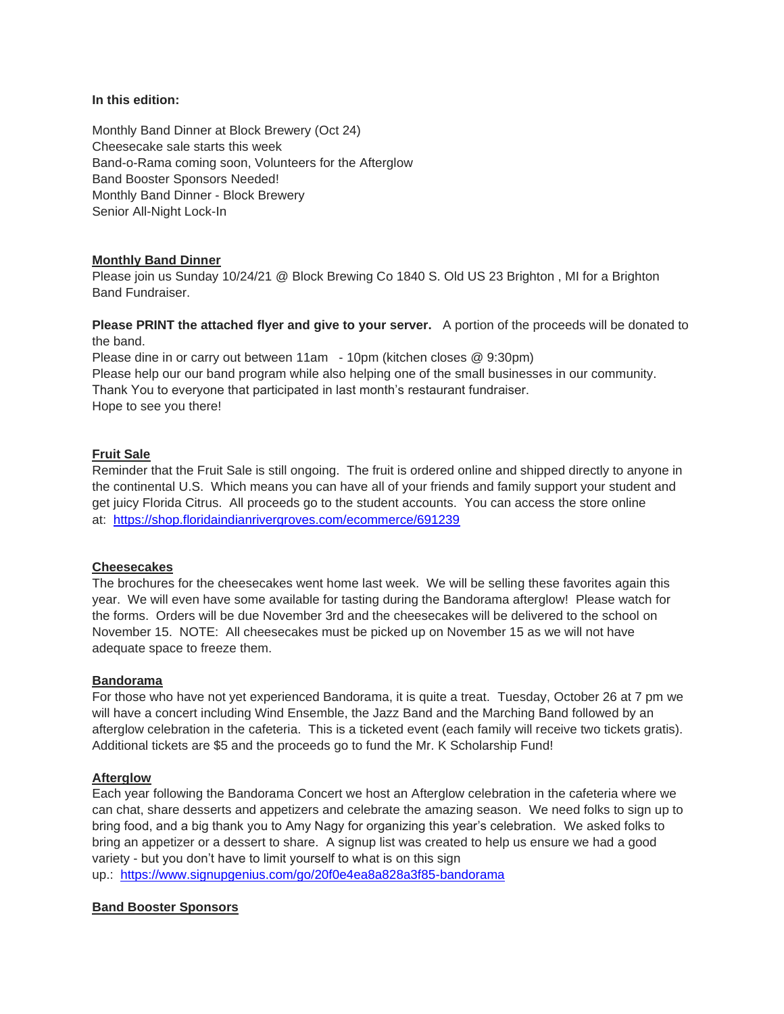### **In this edition:**

Monthly Band Dinner at Block Brewery (Oct 24) Cheesecake sale starts this week Band-o-Rama coming soon, Volunteers for the Afterglow Band Booster Sponsors Needed! Monthly Band Dinner - Block Brewery Senior All-Night Lock-In

#### **Monthly Band Dinner**

Please join us Sunday 10/24/21 @ Block Brewing Co 1840 S. Old US 23 Brighton , MI for a Brighton Band Fundraiser.

**Please PRINT the attached flyer and give to your server.** A portion of the proceeds will be donated to the band.

Please dine in or carry out between 11am - 10pm (kitchen closes @ 9:30pm) Please help our our band program while also helping one of the small businesses in our community. Thank You to everyone that participated in last month's restaurant fundraiser. Hope to see you there!

# **Fruit Sale**

Reminder that the Fruit Sale is still ongoing. The fruit is ordered online and shipped directly to anyone in the continental U.S. Which means you can have all of your friends and family support your student and get juicy Florida Citrus. All proceeds go to the student accounts. You can access the store online at: <https://shop.floridaindianrivergroves.com/ecommerce/691239>

#### **Cheesecakes**

The brochures for the cheesecakes went home last week. We will be selling these favorites again this year. We will even have some available for tasting during the Bandorama afterglow! Please watch for the forms. Orders will be due November 3rd and the cheesecakes will be delivered to the school on November 15. NOTE: All cheesecakes must be picked up on November 15 as we will not have adequate space to freeze them.

#### **Bandorama**

For those who have not yet experienced Bandorama, it is quite a treat. Tuesday, October 26 at 7 pm we will have a concert including Wind Ensemble, the Jazz Band and the Marching Band followed by an afterglow celebration in the cafeteria. This is a ticketed event (each family will receive two tickets gratis). Additional tickets are \$5 and the proceeds go to fund the Mr. K Scholarship Fund!

#### **Afterglow**

Each year following the Bandorama Concert we host an Afterglow celebration in the cafeteria where we can chat, share desserts and appetizers and celebrate the amazing season. We need folks to sign up to bring food, and a big thank you to Amy Nagy for organizing this year's celebration. We asked folks to bring an appetizer or a dessert to share. A signup list was created to help us ensure we had a good variety - but you don't have to limit yourself to what is on this sign up.: <https://www.signupgenius.com/go/20f0e4ea8a828a3f85-bandorama>

#### **Band Booster Sponsors**